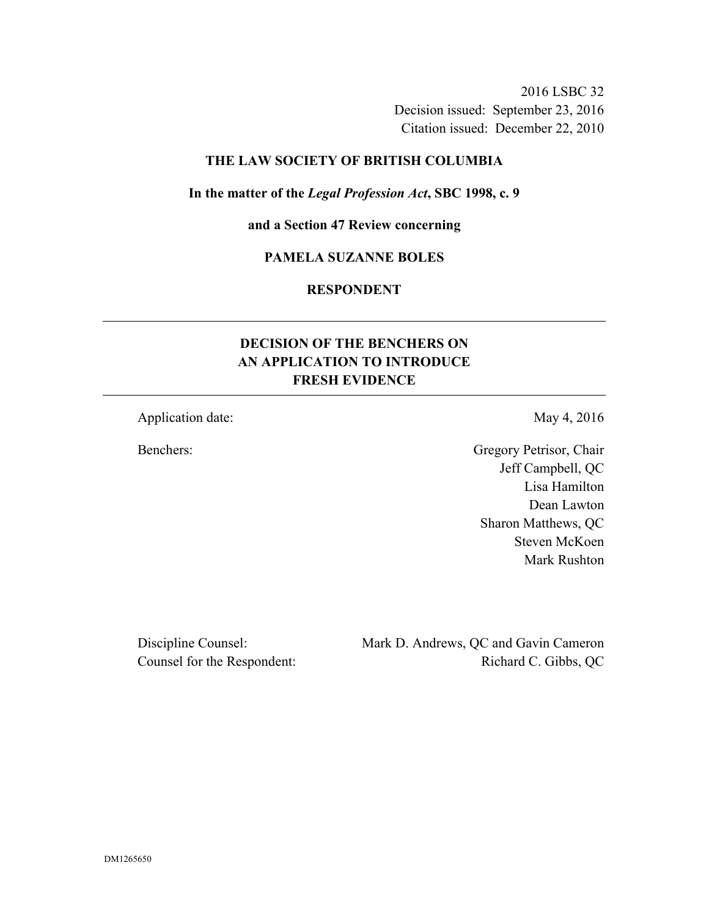2016 LSBC 32 Decision issued: September 23, 2016 Citation issued: December 22, 2010

### **THE LAW SOCIETY OF BRITISH COLUMBIA**

### **In the matter of the** *Legal Profession Act***, SBC 1998, c. 9**

**and a Section 47 Review concerning** 

## **PAMELA SUZANNE BOLES**

# **RESPONDENT**

# **DECISION OF THE BENCHERS ON AN APPLICATION TO INTRODUCE FRESH EVIDENCE**

Application date: May 4, 2016

Benchers: Gregory Petrisor, Chair Jeff Campbell, QC Lisa Hamilton Dean Lawton Sharon Matthews, QC Steven McKoen Mark Rushton

Discipline Counsel: Mark D. Andrews, QC and Gavin Cameron Counsel for the Respondent: Richard C. Gibbs, QC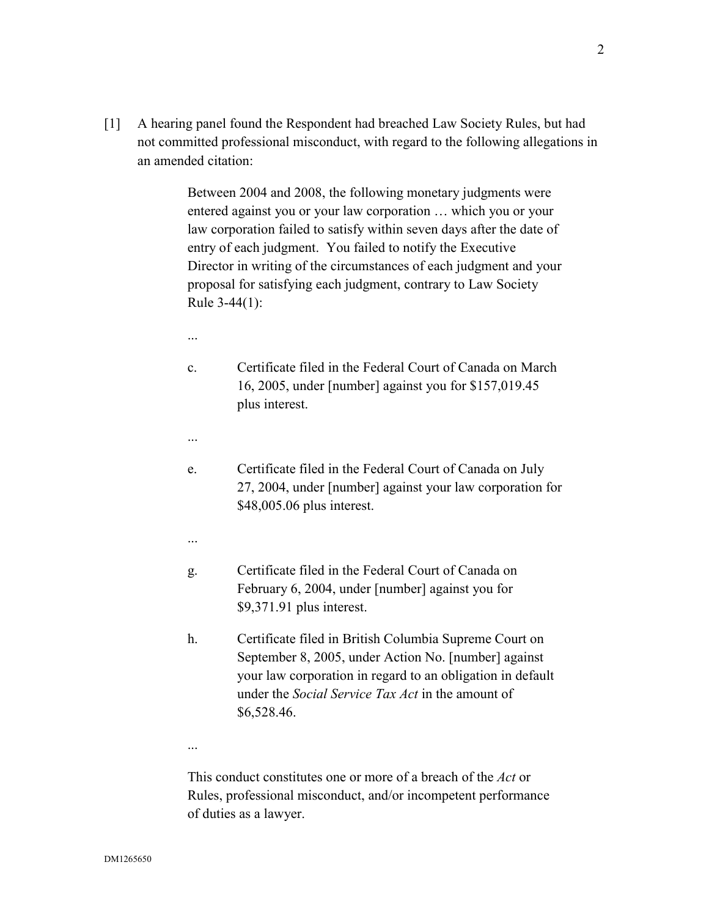[1] A hearing panel found the Respondent had breached Law Society Rules, but had not committed professional misconduct, with regard to the following allegations in an amended citation:

> Between 2004 and 2008, the following monetary judgments were entered against you or your law corporation … which you or your law corporation failed to satisfy within seven days after the date of entry of each judgment. You failed to notify the Executive Director in writing of the circumstances of each judgment and your proposal for satisfying each judgment, contrary to Law Society Rule 3-44(1):

- ...
- c. Certificate filed in the Federal Court of Canada on March 16, 2005, under [number] against you for \$157,019.45 plus interest.
- ...
- e. Certificate filed in the Federal Court of Canada on July 27, 2004, under [number] against your law corporation for \$48,005.06 plus interest.
- ...
- g. Certificate filed in the Federal Court of Canada on February 6, 2004, under [number] against you for \$9,371.91 plus interest.
- h. Certificate filed in British Columbia Supreme Court on September 8, 2005, under Action No. [number] against your law corporation in regard to an obligation in default under the *Social Service Tax Act* in the amount of \$6,528.46.
- ...

This conduct constitutes one or more of a breach of the *Act* or Rules, professional misconduct, and/or incompetent performance of duties as a lawyer.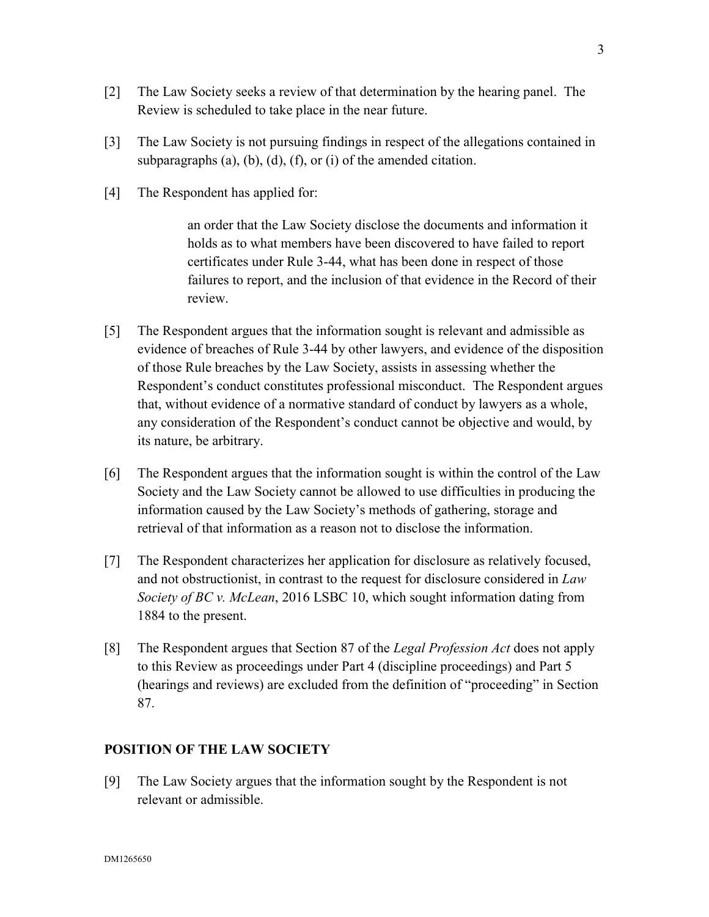- [2] The Law Society seeks a review of that determination by the hearing panel. The Review is scheduled to take place in the near future.
- [3] The Law Society is not pursuing findings in respect of the allegations contained in subparagraphs (a), (b), (d), (f), or (i) of the amended citation.
- [4] The Respondent has applied for:

an order that the Law Society disclose the documents and information it holds as to what members have been discovered to have failed to report certificates under Rule 3-44, what has been done in respect of those failures to report, and the inclusion of that evidence in the Record of their review.

- [5] The Respondent argues that the information sought is relevant and admissible as evidence of breaches of Rule 3-44 by other lawyers, and evidence of the disposition of those Rule breaches by the Law Society, assists in assessing whether the Respondent's conduct constitutes professional misconduct. The Respondent argues that, without evidence of a normative standard of conduct by lawyers as a whole, any consideration of the Respondent's conduct cannot be objective and would, by its nature, be arbitrary.
- [6] The Respondent argues that the information sought is within the control of the Law Society and the Law Society cannot be allowed to use difficulties in producing the information caused by the Law Society's methods of gathering, storage and retrieval of that information as a reason not to disclose the information.
- [7] The Respondent characterizes her application for disclosure as relatively focused, and not obstructionist, in contrast to the request for disclosure considered in *Law Society of BC v. McLean*, 2016 LSBC 10, which sought information dating from 1884 to the present.
- [8] The Respondent argues that Section 87 of the *Legal Profession Act* does not apply to this Review as proceedings under Part 4 (discipline proceedings) and Part 5 (hearings and reviews) are excluded from the definition of "proceeding" in Section 87.

### **POSITION OF THE LAW SOCIETY**

[9] The Law Society argues that the information sought by the Respondent is not relevant or admissible.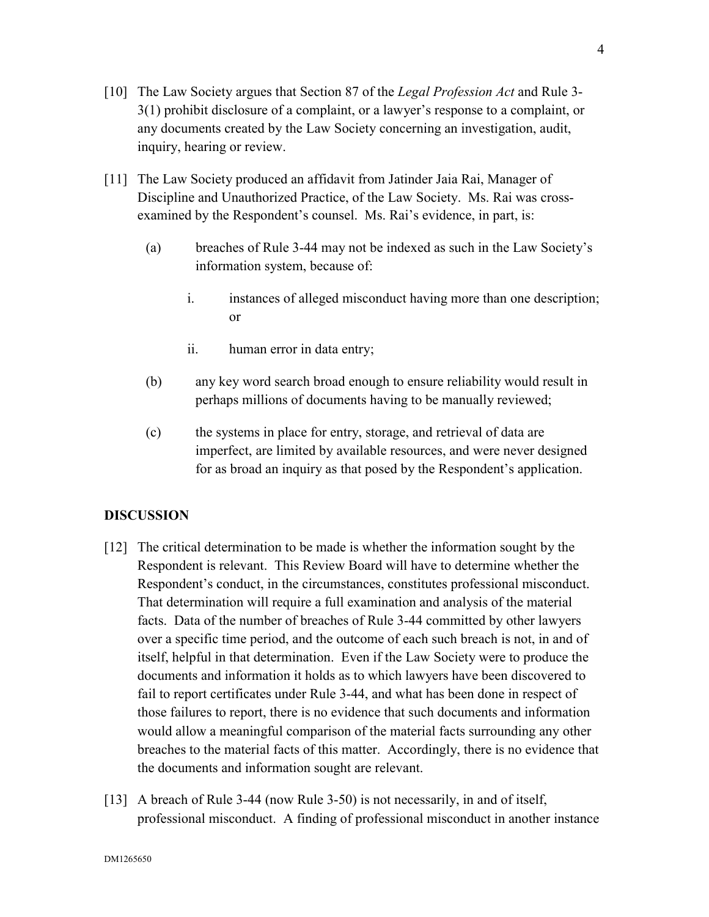- [10] The Law Society argues that Section 87 of the *Legal Profession Act* and Rule 3- 3(1) prohibit disclosure of a complaint, or a lawyer's response to a complaint, or any documents created by the Law Society concerning an investigation, audit, inquiry, hearing or review.
- [11] The Law Society produced an affidavit from Jatinder Jaia Rai, Manager of Discipline and Unauthorized Practice, of the Law Society. Ms. Rai was crossexamined by the Respondent's counsel. Ms. Rai's evidence, in part, is:
	- (a) breaches of Rule 3-44 may not be indexed as such in the Law Society's information system, because of:
		- i. instances of alleged misconduct having more than one description; or
		- ii. human error in data entry;
	- (b) any key word search broad enough to ensure reliability would result in perhaps millions of documents having to be manually reviewed;
	- (c) the systems in place for entry, storage, and retrieval of data are imperfect, are limited by available resources, and were never designed for as broad an inquiry as that posed by the Respondent's application.

# **DISCUSSION**

- [12] The critical determination to be made is whether the information sought by the Respondent is relevant. This Review Board will have to determine whether the Respondent's conduct, in the circumstances, constitutes professional misconduct. That determination will require a full examination and analysis of the material facts. Data of the number of breaches of Rule 3-44 committed by other lawyers over a specific time period, and the outcome of each such breach is not, in and of itself, helpful in that determination. Even if the Law Society were to produce the documents and information it holds as to which lawyers have been discovered to fail to report certificates under Rule 3-44, and what has been done in respect of those failures to report, there is no evidence that such documents and information would allow a meaningful comparison of the material facts surrounding any other breaches to the material facts of this matter. Accordingly, there is no evidence that the documents and information sought are relevant.
- [13] A breach of Rule 3-44 (now Rule 3-50) is not necessarily, in and of itself, professional misconduct. A finding of professional misconduct in another instance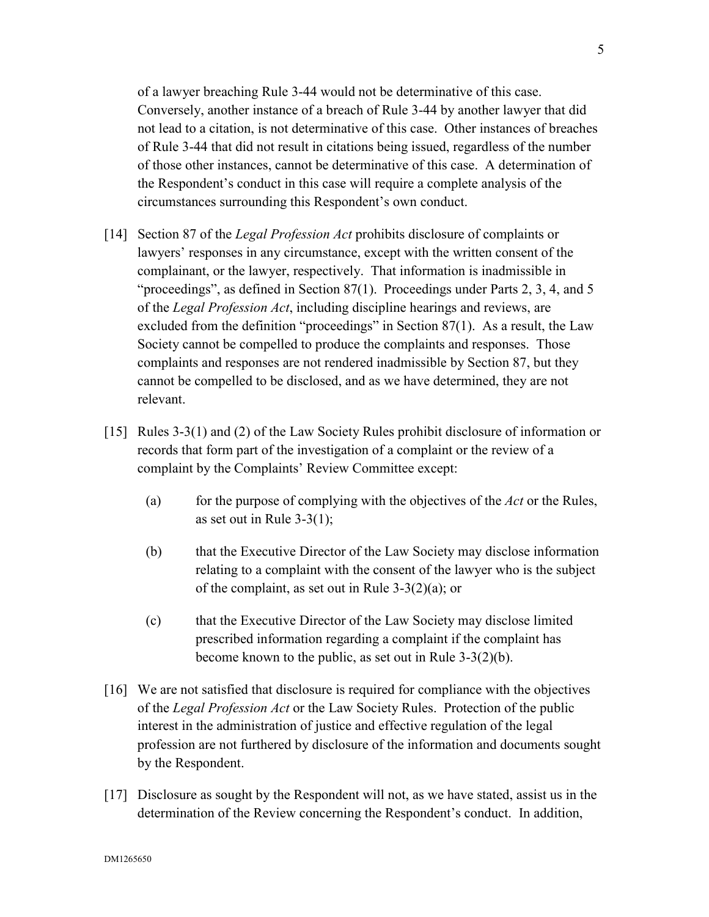of a lawyer breaching Rule 3-44 would not be determinative of this case. Conversely, another instance of a breach of Rule 3-44 by another lawyer that did not lead to a citation, is not determinative of this case. Other instances of breaches of Rule 3-44 that did not result in citations being issued, regardless of the number of those other instances, cannot be determinative of this case. A determination of the Respondent's conduct in this case will require a complete analysis of the circumstances surrounding this Respondent's own conduct.

- [14] Section 87 of the *Legal Profession Act* prohibits disclosure of complaints or lawyers' responses in any circumstance, except with the written consent of the complainant, or the lawyer, respectively. That information is inadmissible in "proceedings", as defined in Section 87(1). Proceedings under Parts 2, 3, 4, and 5 of the *Legal Profession Act*, including discipline hearings and reviews, are excluded from the definition "proceedings" in Section 87(1). As a result, the Law Society cannot be compelled to produce the complaints and responses. Those complaints and responses are not rendered inadmissible by Section 87, but they cannot be compelled to be disclosed, and as we have determined, they are not relevant.
- [15] Rules 3-3(1) and (2) of the Law Society Rules prohibit disclosure of information or records that form part of the investigation of a complaint or the review of a complaint by the Complaints' Review Committee except:
	- (a) for the purpose of complying with the objectives of the *Act* or the Rules, as set out in Rule  $3-3(1)$ ;
	- (b) that the Executive Director of the Law Society may disclose information relating to a complaint with the consent of the lawyer who is the subject of the complaint, as set out in Rule 3-3(2)(a); or
	- (c) that the Executive Director of the Law Society may disclose limited prescribed information regarding a complaint if the complaint has become known to the public, as set out in Rule 3-3(2)(b).
- [16] We are not satisfied that disclosure is required for compliance with the objectives of the *Legal Profession Act* or the Law Society Rules. Protection of the public interest in the administration of justice and effective regulation of the legal profession are not furthered by disclosure of the information and documents sought by the Respondent.
- [17] Disclosure as sought by the Respondent will not, as we have stated, assist us in the determination of the Review concerning the Respondent's conduct. In addition,